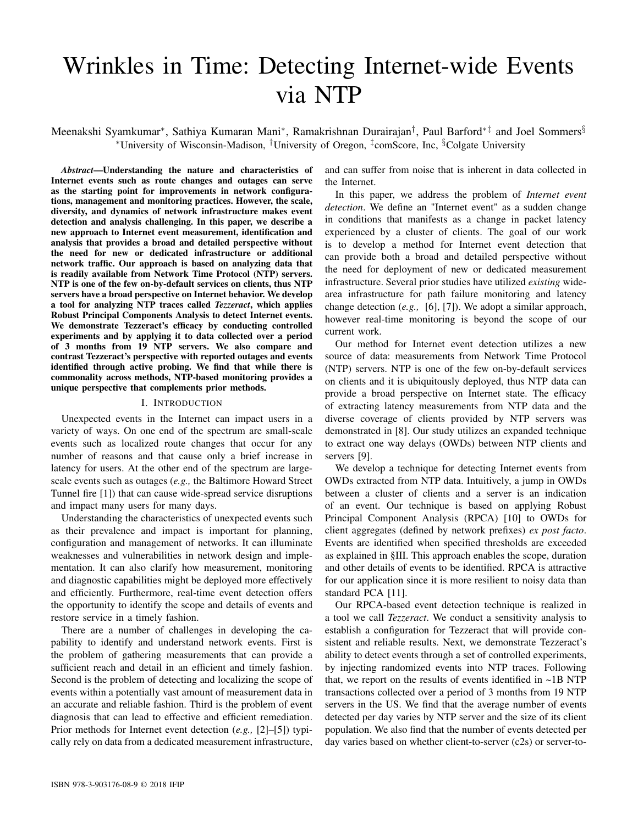# Wrinkles in Time: Detecting Internet-wide Events via NTP

Meenakshi Syamkumar\*, Sathiya Kumaran Mani\*, Ramakrishnan Durairajan<sup>†</sup>, Paul Barford\*<sup>‡</sup> and Joel Sommers<sup>§</sup> <sup>∗</sup>University of Wisconsin-Madison, †University of Oregon, ‡ comScore, Inc, §Colgate University

*Abstract*—Understanding the nature and characteristics of Internet events such as route changes and outages can serve as the starting point for improvements in network configurations, management and monitoring practices. However, the scale, diversity, and dynamics of network infrastructure makes event detection and analysis challenging. In this paper, we describe a new approach to Internet event measurement, identification and analysis that provides a broad and detailed perspective without the need for new or dedicated infrastructure or additional network traffic. Our approach is based on analyzing data that is readily available from Network Time Protocol (NTP) servers. NTP is one of the few on-by-default services on clients, thus NTP servers have a broad perspective on Internet behavior. We develop a tool for analyzing NTP traces called *Tezzeract*, which applies Robust Principal Components Analysis to detect Internet events. We demonstrate Tezzeract's efficacy by conducting controlled experiments and by applying it to data collected over a period of 3 months from 19 NTP servers. We also compare and contrast Tezzeract's perspective with reported outages and events identified through active probing. We find that while there is commonality across methods, NTP-based monitoring provides a unique perspective that complements prior methods.

#### I. INTRODUCTION

Unexpected events in the Internet can impact users in a variety of ways. On one end of the spectrum are small-scale events such as localized route changes that occur for any number of reasons and that cause only a brief increase in latency for users. At the other end of the spectrum are largescale events such as outages (*e.g.,* the Baltimore Howard Street Tunnel fire [1]) that can cause wide-spread service disruptions and impact many users for many days.

Understanding the characteristics of unexpected events such as their prevalence and impact is important for planning, configuration and management of networks. It can illuminate weaknesses and vulnerabilities in network design and implementation. It can also clarify how measurement, monitoring and diagnostic capabilities might be deployed more effectively and efficiently. Furthermore, real-time event detection offers the opportunity to identify the scope and details of events and restore service in a timely fashion.

There are a number of challenges in developing the capability to identify and understand network events. First is the problem of gathering measurements that can provide a sufficient reach and detail in an efficient and timely fashion. Second is the problem of detecting and localizing the scope of events within a potentially vast amount of measurement data in an accurate and reliable fashion. Third is the problem of event diagnosis that can lead to effective and efficient remediation. Prior methods for Internet event detection (*e.g.,* [2]–[5]) typically rely on data from a dedicated measurement infrastructure,

and can suffer from noise that is inherent in data collected in the Internet.

In this paper, we address the problem of *Internet event detection*. We define an "Internet event" as a sudden change in conditions that manifests as a change in packet latency experienced by a cluster of clients. The goal of our work is to develop a method for Internet event detection that can provide both a broad and detailed perspective without the need for deployment of new or dedicated measurement infrastructure. Several prior studies have utilized *existing* widearea infrastructure for path failure monitoring and latency change detection (*e.g.,* [6], [7]). We adopt a similar approach, however real-time monitoring is beyond the scope of our current work.

Our method for Internet event detection utilizes a new source of data: measurements from Network Time Protocol (NTP) servers. NTP is one of the few on-by-default services on clients and it is ubiquitously deployed, thus NTP data can provide a broad perspective on Internet state. The efficacy of extracting latency measurements from NTP data and the diverse coverage of clients provided by NTP servers was demonstrated in [8]. Our study utilizes an expanded technique to extract one way delays (OWDs) between NTP clients and servers [9].

We develop a technique for detecting Internet events from OWDs extracted from NTP data. Intuitively, a jump in OWDs between a cluster of clients and a server is an indication of an event. Our technique is based on applying Robust Principal Component Analysis (RPCA) [10] to OWDs for client aggregates (defined by network prefixes) *ex post facto*. Events are identified when specified thresholds are exceeded as explained in §III. This approach enables the scope, duration and other details of events to be identified. RPCA is attractive for our application since it is more resilient to noisy data than standard PCA [11].

Our RPCA-based event detection technique is realized in a tool we call *Tezzeract*. We conduct a sensitivity analysis to establish a configuration for Tezzeract that will provide consistent and reliable results. Next, we demonstrate Tezzeract's ability to detect events through a set of controlled experiments, by injecting randomized events into NTP traces. Following that, we report on the results of events identified in ~1B NTP transactions collected over a period of 3 months from 19 NTP servers in the US. We find that the average number of events detected per day varies by NTP server and the size of its client population. We also find that the number of events detected per day varies based on whether client-to-server (c2s) or server-to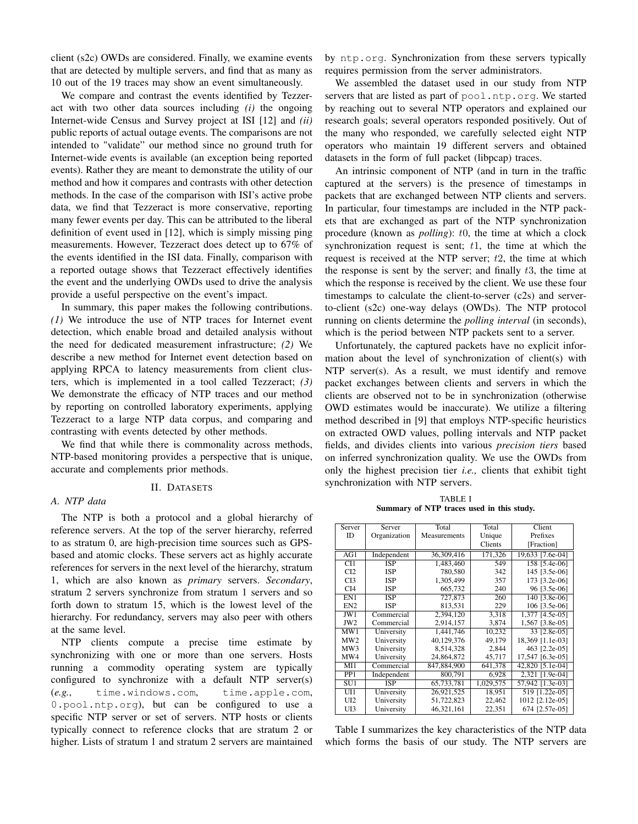client (s2c) OWDs are considered. Finally, we examine events that are detected by multiple servers, and find that as many as 10 out of the 19 traces may show an event simultaneously.

We compare and contrast the events identified by Tezzeract with two other data sources including *(i)* the ongoing Internet-wide Census and Survey project at ISI [12] and *(ii)* public reports of actual outage events. The comparisons are not intended to "validate" our method since no ground truth for Internet-wide events is available (an exception being reported events). Rather they are meant to demonstrate the utility of our method and how it compares and contrasts with other detection methods. In the case of the comparison with ISI's active probe data, we find that Tezzeract is more conservative, reporting many fewer events per day. This can be attributed to the liberal definition of event used in [12], which is simply missing ping measurements. However, Tezzeract does detect up to 67% of the events identified in the ISI data. Finally, comparison with a reported outage shows that Tezzeract effectively identifies the event and the underlying OWDs used to drive the analysis provide a useful perspective on the event's impact.

In summary, this paper makes the following contributions. *(1)* We introduce the use of NTP traces for Internet event detection, which enable broad and detailed analysis without the need for dedicated measurement infrastructure; *(2)* We describe a new method for Internet event detection based on applying RPCA to latency measurements from client clusters, which is implemented in a tool called Tezzeract; *(3)* We demonstrate the efficacy of NTP traces and our method by reporting on controlled laboratory experiments, applying Tezzeract to a large NTP data corpus, and comparing and contrasting with events detected by other methods.

We find that while there is commonality across methods, NTP-based monitoring provides a perspective that is unique, accurate and complements prior methods.

## II. DATASETS

# *A. NTP data*

The NTP is both a protocol and a global hierarchy of reference servers. At the top of the server hierarchy, referred to as stratum 0, are high-precision time sources such as GPSbased and atomic clocks. These servers act as highly accurate references for servers in the next level of the hierarchy, stratum 1, which are also known as *primary* servers. *Secondary*, stratum 2 servers synchronize from stratum 1 servers and so forth down to stratum 15, which is the lowest level of the hierarchy. For redundancy, servers may also peer with others at the same level.

NTP clients compute a precise time estimate by synchronizing with one or more than one servers. Hosts running a commodity operating system are typically configured to synchronize with a default NTP server(s) (*e.g.*, time.windows.com, time.apple.com, 0.pool.ntp.org), but can be configured to use a specific NTP server or set of servers. NTP hosts or clients typically connect to reference clocks that are stratum 2 or higher. Lists of stratum 1 and stratum 2 servers are maintained

by ntp.org. Synchronization from these servers typically requires permission from the server administrators.

We assembled the dataset used in our study from NTP servers that are listed as part of pool.ntp.org. We started by reaching out to several NTP operators and explained our research goals; several operators responded positively. Out of the many who responded, we carefully selected eight NTP operators who maintain 19 different servers and obtained datasets in the form of full packet (libpcap) traces.

An intrinsic component of NTP (and in turn in the traffic captured at the servers) is the presence of timestamps in packets that are exchanged between NTP clients and servers. In particular, four timestamps are included in the NTP packets that are exchanged as part of the NTP synchronization procedure (known as *polling*): t0, the time at which a clock synchronization request is sent;  $t1$ , the time at which the request is received at the NTP server;  $t<sub>2</sub>$ , the time at which the response is sent by the server; and finally  $t3$ , the time at which the response is received by the client. We use these four timestamps to calculate the client-to-server (c2s) and serverto-client (s2c) one-way delays (OWDs). The NTP protocol running on clients determine the *polling interval* (in seconds), which is the period between NTP packets sent to a server.

Unfortunately, the captured packets have no explicit information about the level of synchronization of client(s) with NTP server(s). As a result, we must identify and remove packet exchanges between clients and servers in which the clients are observed not to be in synchronization (otherwise OWD estimates would be inaccurate). We utilize a filtering method described in [9] that employs NTP-specific heuristics on extracted OWD values, polling intervals and NTP packet fields, and divides clients into various *precision tiers* based on inferred synchronization quality. We use the OWDs from only the highest precision tier *i.e.,* clients that exhibit tight synchronization with NTP servers.

TABLE I Summary of NTP traces used in this study.

| Server          | Server       | Total        | Total     | Client             |
|-----------------|--------------|--------------|-----------|--------------------|
| <b>ID</b>       | Organization | Measurements | Unique    | Prefixes           |
|                 |              |              | Clients   | [Fraction]         |
| AG1             | Independent  | 36,309,416   | 171,326   | 19,633 [7.6e-04]   |
| CI1             | ISP          | 1.483.460    | 549       | 158 [5.4e-06]      |
| CI2             | <b>ISP</b>   | 780,580      | 342       | 145 [3.5e-06]      |
| CI3             | <b>ISP</b>   | 1,305,499    | 357       | 173 [3.2e-06]      |
| CI <sub>4</sub> | <b>ISP</b>   | 665,732      | 240       | 96 [3.5e-06]       |
| EN1             | <b>ISP</b>   | 727,873      | 260       | 140 [3.8e-06]      |
| EN <sub>2</sub> | <b>ISP</b>   | 813,531      | 229       | 106 [3.5e-06]      |
| JW1             | Commercial   | 2.394.120    | 3,318     | 1,377 [4.5e-05]    |
| JW <sub>2</sub> | Commercial   | 2,914,157    | 3,874     | 1,567 [3.8e-05]    |
| MW1             | University   | 1.441.746    | 10,232    | 33 [2.8e-05]       |
| MW <sub>2</sub> | University   | 40,129,376   | 49,179    | 18,369 [1.1e-03]   |
| MW3             | University   | 8,514,328    | 2,844     | 463 [2.2e-05]      |
| MW4             | University   | 24,864,872   | 45,717    | 17,547 [6.3e-05]   |
| MI1             | Commercial   | 847,884,900  | 641,378   | $42,820$ [5.1e-04] |
| PP <sub>1</sub> | Independent  | 800,791      | 6,928     | 2,321 [1.9e-04]    |
| SU <sub>1</sub> | <b>ISP</b>   | 65,733,781   | 1,029,575 | 57,942 [1.3e-03]   |
| UII             | University   | 26,921,525   | 18,951    | 519 [1.22e-05]     |
| UI <sub>2</sub> | University   | 51,722,823   | 22,462    | 1012 [2.12e-05]    |
| UI3             | University   | 46,321,161   | 22,351    | 674 [2.57e-05]     |

Table I summarizes the key characteristics of the NTP data which forms the basis of our study. The NTP servers are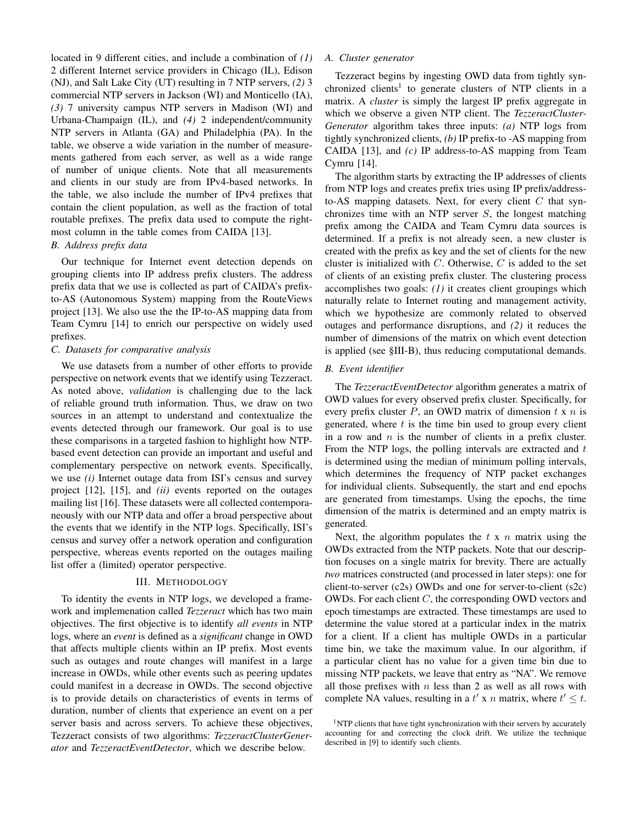located in 9 different cities, and include a combination of *(1)* 2 different Internet service providers in Chicago (IL), Edison (NJ), and Salt Lake City (UT) resulting in 7 NTP servers, *(2)* 3 commercial NTP servers in Jackson (WI) and Monticello (IA), *(3)* 7 university campus NTP servers in Madison (WI) and Urbana-Champaign (IL), and *(4)* 2 independent/community NTP servers in Atlanta (GA) and Philadelphia (PA). In the table, we observe a wide variation in the number of measurements gathered from each server, as well as a wide range of number of unique clients. Note that all measurements and clients in our study are from IPv4-based networks. In the table, we also include the number of IPv4 prefixes that contain the client population, as well as the fraction of total routable prefixes. The prefix data used to compute the rightmost column in the table comes from CAIDA [13].

# *B. Address prefix data*

Our technique for Internet event detection depends on grouping clients into IP address prefix clusters. The address prefix data that we use is collected as part of CAIDA's prefixto-AS (Autonomous System) mapping from the RouteViews project [13]. We also use the the IP-to-AS mapping data from Team Cymru [14] to enrich our perspective on widely used prefixes.

# *C. Datasets for comparative analysis*

We use datasets from a number of other efforts to provide perspective on network events that we identify using Tezzeract. As noted above, *validation* is challenging due to the lack of reliable ground truth information. Thus, we draw on two sources in an attempt to understand and contextualize the events detected through our framework. Our goal is to use these comparisons in a targeted fashion to highlight how NTPbased event detection can provide an important and useful and complementary perspective on network events. Specifically, we use *(i)* Internet outage data from ISI's census and survey project [12], [15], and *(ii)* events reported on the outages mailing list [16]. These datasets were all collected contemporaneously with our NTP data and offer a broad perspective about the events that we identify in the NTP logs. Specifically, ISI's census and survey offer a network operation and configuration perspective, whereas events reported on the outages mailing list offer a (limited) operator perspective.

# III. METHODOLOGY

To identity the events in NTP logs, we developed a framework and implemenation called *Tezzeract* which has two main objectives. The first objective is to identify *all events* in NTP logs, where an *event* is defined as a *significant* change in OWD that affects multiple clients within an IP prefix. Most events such as outages and route changes will manifest in a large increase in OWDs, while other events such as peering updates could manifest in a decrease in OWDs. The second objective is to provide details on characteristics of events in terms of duration, number of clients that experience an event on a per server basis and across servers. To achieve these objectives, Tezzeract consists of two algorithms: *TezzeractClusterGenerator* and *TezzeractEventDetector*, which we describe below.

#### *A. Cluster generator*

Tezzeract begins by ingesting OWD data from tightly synchronized clients<sup>1</sup> to generate clusters of NTP clients in a matrix. A *cluster* is simply the largest IP prefix aggregate in which we observe a given NTP client. The *TezzeractCluster-Generator* algorithm takes three inputs: *(a)* NTP logs from tightly synchronized clients, *(b)* IP prefix-to -AS mapping from CAIDA [13], and *(c)* IP address-to-AS mapping from Team Cymru [14].

The algorithm starts by extracting the IP addresses of clients from NTP logs and creates prefix tries using IP prefix/addressto-AS mapping datasets. Next, for every client  $C$  that synchronizes time with an NTP server  $S$ , the longest matching prefix among the CAIDA and Team Cymru data sources is determined. If a prefix is not already seen, a new cluster is created with the prefix as key and the set of clients for the new cluster is initialized with  $C$ . Otherwise,  $C$  is added to the set of clients of an existing prefix cluster. The clustering process accomplishes two goals: *(1)* it creates client groupings which naturally relate to Internet routing and management activity, which we hypothesize are commonly related to observed outages and performance disruptions, and *(2)* it reduces the number of dimensions of the matrix on which event detection is applied (see §III-B), thus reducing computational demands.

#### *B. Event identifier*

The *TezzeractEventDetector* algorithm generates a matrix of OWD values for every observed prefix cluster. Specifically, for every prefix cluster  $P$ , an OWD matrix of dimension  $t \times n$  is generated, where  $t$  is the time bin used to group every client in a row and  $n$  is the number of clients in a prefix cluster. From the NTP logs, the polling intervals are extracted and  $t$ is determined using the median of minimum polling intervals, which determines the frequency of NTP packet exchanges for individual clients. Subsequently, the start and end epochs are generated from timestamps. Using the epochs, the time dimension of the matrix is determined and an empty matrix is generated.

Next, the algorithm populates the  $t \times n$  matrix using the OWDs extracted from the NTP packets. Note that our description focuses on a single matrix for brevity. There are actually *two* matrices constructed (and processed in later steps): one for client-to-server (c2s) OWDs and one for server-to-client (s2c) OWDs. For each client C, the corresponding OWD vectors and epoch timestamps are extracted. These timestamps are used to determine the value stored at a particular index in the matrix for a client. If a client has multiple OWDs in a particular time bin, we take the maximum value. In our algorithm, if a particular client has no value for a given time bin due to missing NTP packets, we leave that entry as "NA". We remove all those prefixes with  $n$  less than 2 as well as all rows with complete NA values, resulting in a  $t' \times n$  matrix, where  $t' \leq t$ .

 $1$ NTP clients that have tight synchronization with their servers by accurately accounting for and correcting the clock drift. We utilize the technique described in [9] to identify such clients.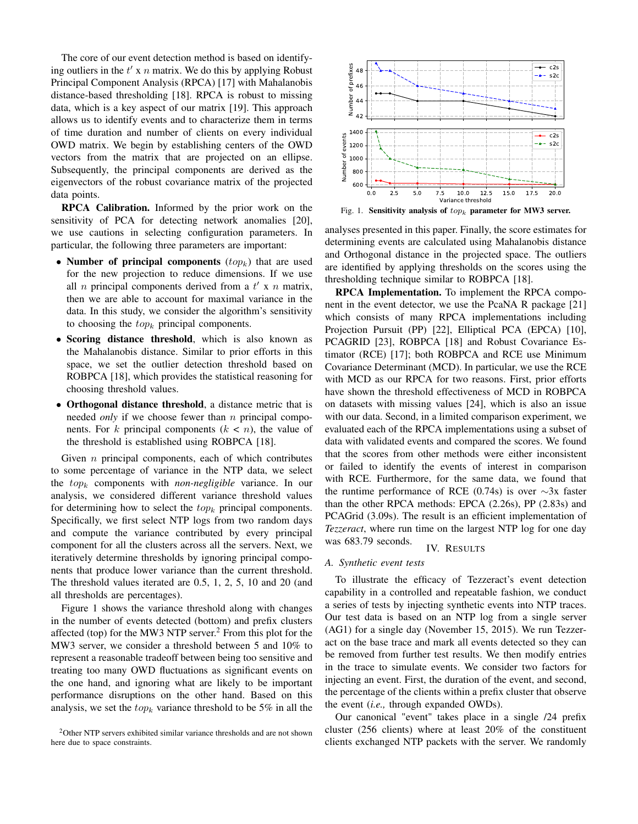The core of our event detection method is based on identifying outliers in the  $t'$  x  $n$  matrix. We do this by applying Robust Principal Component Analysis (RPCA) [17] with Mahalanobis distance-based thresholding [18]. RPCA is robust to missing data, which is a key aspect of our matrix [19]. This approach allows us to identify events and to characterize them in terms of time duration and number of clients on every individual OWD matrix. We begin by establishing centers of the OWD vectors from the matrix that are projected on an ellipse. Subsequently, the principal components are derived as the eigenvectors of the robust covariance matrix of the projected data points.

RPCA Calibration. Informed by the prior work on the sensitivity of PCA for detecting network anomalies [20], we use cautions in selecting configuration parameters. In particular, the following three parameters are important:

- Number of principal components  $(top_k)$  that are used for the new projection to reduce dimensions. If we use all *n* principal components derived from a  $t'$  x *n* matrix, then we are able to account for maximal variance in the data. In this study, we consider the algorithm's sensitivity to choosing the  $top_k$  principal components.
- Scoring distance threshold, which is also known as the Mahalanobis distance. Similar to prior efforts in this space, we set the outlier detection threshold based on ROBPCA [18], which provides the statistical reasoning for choosing threshold values.
- Orthogonal distance threshold, a distance metric that is needed *only* if we choose fewer than *n* principal components. For k principal components  $(k < n)$ , the value of the threshold is established using ROBPCA [18].

Given  $n$  principal components, each of which contributes to some percentage of variance in the NTP data, we select the top<sup>k</sup> components with *non-negligible* variance. In our analysis, we considered different variance threshold values for determining how to select the  $top_k$  principal components. Specifically, we first select NTP logs from two random days and compute the variance contributed by every principal component for all the clusters across all the servers. Next, we iteratively determine thresholds by ignoring principal components that produce lower variance than the current threshold. The threshold values iterated are 0.5, 1, 2, 5, 10 and 20 (and all thresholds are percentages).

Figure 1 shows the variance threshold along with changes in the number of events detected (bottom) and prefix clusters affected (top) for the MW3 NTP server.<sup>2</sup> From this plot for the MW3 server, we consider a threshold between 5 and 10% to represent a reasonable tradeoff between being too sensitive and treating too many OWD fluctuations as significant events on the one hand, and ignoring what are likely to be important performance disruptions on the other hand. Based on this analysis, we set the  $top_k$  variance threshold to be 5% in all the



Fig. 1. Sensitivity analysis of  $top_k$  parameter for MW3 server.

analyses presented in this paper. Finally, the score estimates for determining events are calculated using Mahalanobis distance and Orthogonal distance in the projected space. The outliers are identified by applying thresholds on the scores using the thresholding technique similar to ROBPCA [18].

RPCA Implementation. To implement the RPCA component in the event detector, we use the PcaNA R package [21] which consists of many RPCA implementations including Projection Pursuit (PP) [22], Elliptical PCA (EPCA) [10], PCAGRID [23], ROBPCA [18] and Robust Covariance Estimator (RCE) [17]; both ROBPCA and RCE use Minimum Covariance Determinant (MCD). In particular, we use the RCE with MCD as our RPCA for two reasons. First, prior efforts have shown the threshold effectiveness of MCD in ROBPCA on datasets with missing values [24], which is also an issue with our data. Second, in a limited comparison experiment, we evaluated each of the RPCA implementations using a subset of data with validated events and compared the scores. We found that the scores from other methods were either inconsistent or failed to identify the events of interest in comparison with RCE. Furthermore, for the same data, we found that the runtime performance of RCE (0.74s) is over  $\sim$ 3x faster than the other RPCA methods: EPCA (2.26s), PP (2.83s) and PCAGrid (3.09s). The result is an efficient implementation of *Tezzeract*, where run time on the largest NTP log for one day was 683.79 seconds. IV. RESULTS

#### *A. Synthetic event tests*

To illustrate the efficacy of Tezzeract's event detection capability in a controlled and repeatable fashion, we conduct a series of tests by injecting synthetic events into NTP traces. Our test data is based on an NTP log from a single server (AG1) for a single day (November 15, 2015). We run Tezzeract on the base trace and mark all events detected so they can be removed from further test results. We then modify entries in the trace to simulate events. We consider two factors for injecting an event. First, the duration of the event, and second, the percentage of the clients within a prefix cluster that observe the event (*i.e.,* through expanded OWDs).

Our canonical "event" takes place in a single /24 prefix cluster (256 clients) where at least 20% of the constituent clients exchanged NTP packets with the server. We randomly

<sup>&</sup>lt;sup>2</sup>Other NTP servers exhibited similar variance thresholds and are not shown here due to space constraints.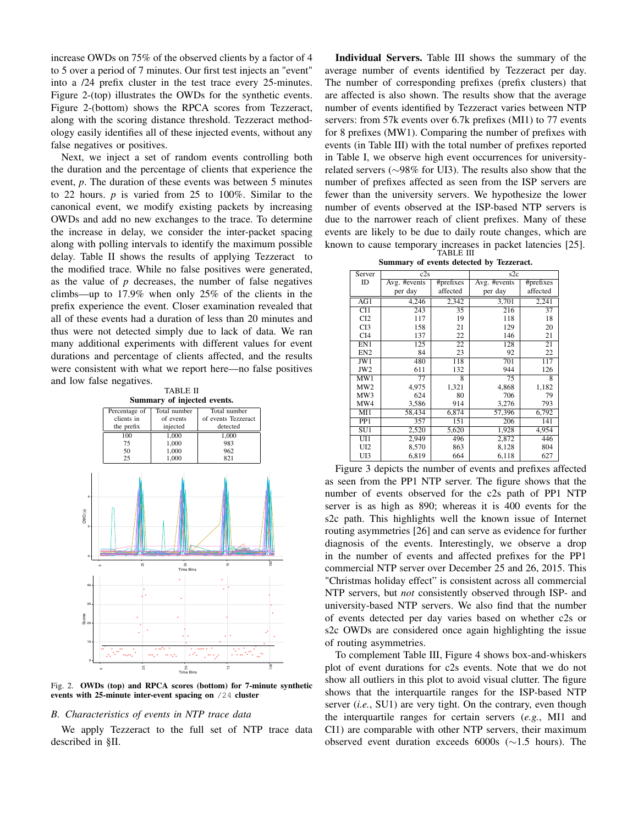increase OWDs on 75% of the observed clients by a factor of 4 to 5 over a period of 7 minutes. Our first test injects an "event" into a /24 prefix cluster in the test trace every 25-minutes. Figure 2-(top) illustrates the OWDs for the synthetic events. Figure 2-(bottom) shows the RPCA scores from Tezzeract, along with the scoring distance threshold. Tezzeract methodology easily identifies all of these injected events, without any false negatives or positives.

Next, we inject a set of random events controlling both the duration and the percentage of clients that experience the event, *p*. The duration of these events was between 5 minutes to 22 hours. *p* is varied from 25 to 100%. Similar to the canonical event, we modify existing packets by increasing OWDs and add no new exchanges to the trace. To determine the increase in delay, we consider the inter-packet spacing along with polling intervals to identify the maximum possible delay. Table II shows the results of applying Tezzeract to the modified trace. While no false positives were generated, as the value of *p* decreases, the number of false negatives climbs—up to 17.9% when only 25% of the clients in the prefix experience the event. Closer examination revealed that all of these events had a duration of less than 20 minutes and thus were not detected simply due to lack of data. We ran many additional experiments with different values for event durations and percentage of clients affected, and the results were consistent with what we report here—no false positives and low false negatives.

| <b>TABLE II</b>             |  |  |  |  |  |
|-----------------------------|--|--|--|--|--|
| Summary of injected events. |  |  |  |  |  |



Fig. 2. OWDs (top) and RPCA scores (bottom) for 7-minute synthetic events with 25-minute inter-event spacing on /24 cluster

#### *B. Characteristics of events in NTP trace data*

We apply Tezzeract to the full set of NTP trace data described in §II.

Individual Servers. Table III shows the summary of the average number of events identified by Tezzeract per day. The number of corresponding prefixes (prefix clusters) that are affected is also shown. The results show that the average number of events identified by Tezzeract varies between NTP servers: from 57k events over 6.7k prefixes (MI1) to 77 events for 8 prefixes (MW1). Comparing the number of prefixes with events (in Table III) with the total number of prefixes reported in Table I, we observe high event occurrences for universityrelated servers (∼98% for UI3). The results also show that the number of prefixes affected as seen from the ISP servers are fewer than the university servers. We hypothesize the lower number of events observed at the ISP-based NTP servers is due to the narrower reach of client prefixes. Many of these events are likely to be due to daily route changes, which are known to cause temporary increases in packet latencies [25]. TABLE III

|  |  | Summary of events detected by Tezzeract. |
|--|--|------------------------------------------|
|  |  |                                          |

| Server           | c2s          |           | s2c          |           |  |
|------------------|--------------|-----------|--------------|-----------|--|
| ID               | Avg. #events | #prefixes | Avg. #events | #prefixes |  |
|                  | per day      | affected  | per day      | affected  |  |
| AG1              | 4,246        | 2,342     | 3,701        | 2,241     |  |
| CI1              | 243          | 35        | 216          | 37        |  |
| CI2              | 117          | 19        | 118          | 18        |  |
| CI3              | 158          | 21        | 129          | 20        |  |
| CI <sub>4</sub>  | 137          | 22        | 146          | 21        |  |
| EN1              | 125          | 22        | 128          | 21        |  |
| EN <sub>2</sub>  | 84           | 23        | 92           | 22        |  |
| JW1              | 480          | 118       | 701          | 117       |  |
| JW <sub>2</sub>  | 611          | 132       | 944          | 126       |  |
| $M\overline{W1}$ | 77           | 8         | 75           | 8         |  |
| MW <sub>2</sub>  | 4,975        | 1,321     | 4,868        | 1,182     |  |
| MW3              | 624          | 80        | 706          | 79        |  |
| MW4              | 3,586        | 914       | 3,276        | 793       |  |
| MI1              | 58,434       | 6,874     | 57,396       | 6,792     |  |
| PP <sub>1</sub>  | 357          | 151       | 206          | 141       |  |
| $\overline{SU1}$ | 2,520        | 5,620     | 1,928        | 4,954     |  |
| UI1              | 2,949        | 496       | 2,872        | 446       |  |
| UI2              | 8,570        | 863       | 8,128        | 804       |  |
| UI3              | 6,819        | 664       | 6,118        | 627       |  |

Figure 3 depicts the number of events and prefixes affected as seen from the PP1 NTP server. The figure shows that the number of events observed for the c2s path of PP1 NTP server is as high as 890; whereas it is 400 events for the s2c path. This highlights well the known issue of Internet routing asymmetries [26] and can serve as evidence for further diagnosis of the events. Interestingly, we observe a drop in the number of events and affected prefixes for the PP1 commercial NTP server over December 25 and 26, 2015. This "Christmas holiday effect" is consistent across all commercial NTP servers, but *not* consistently observed through ISP- and university-based NTP servers. We also find that the number of events detected per day varies based on whether c2s or s2c OWDs are considered once again highlighting the issue of routing asymmetries.

To complement Table III, Figure 4 shows box-and-whiskers plot of event durations for c2s events. Note that we do not show all outliers in this plot to avoid visual clutter. The figure shows that the interquartile ranges for the ISP-based NTP server (*i.e.*, SU1) are very tight. On the contrary, even though the interquartile ranges for certain servers (*e.g.*, MI1 and CI1) are comparable with other NTP servers, their maximum observed event duration exceeds 6000s (∼1.5 hours). The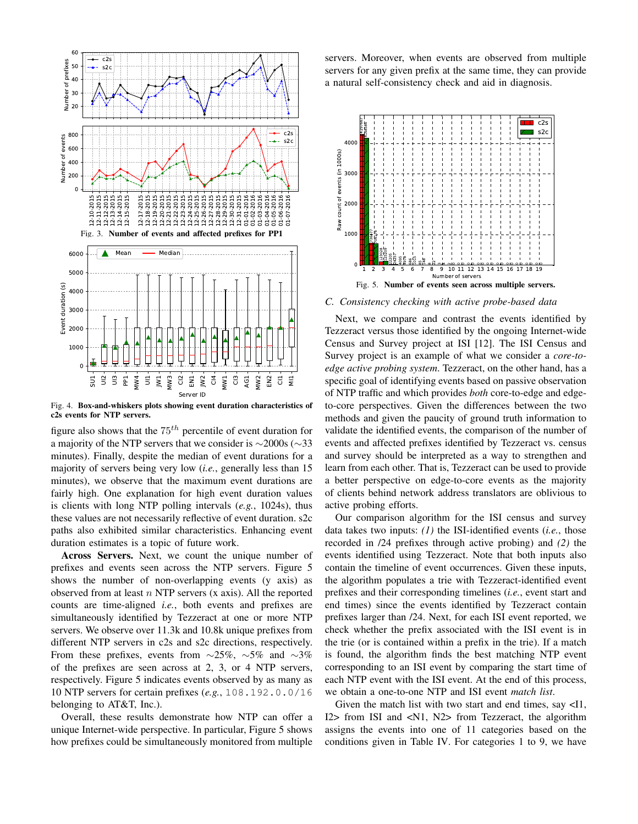

Fig. 4. Box-and-whiskers plots showing event duration characteristics of c2s events for NTP servers.

figure also shows that the  $75<sup>th</sup>$  percentile of event duration for a majority of the NTP servers that we consider is ∼2000s (∼33 minutes). Finally, despite the median of event durations for a majority of servers being very low (*i.e.*, generally less than 15 minutes), we observe that the maximum event durations are fairly high. One explanation for high event duration values is clients with long NTP polling intervals (*e.g.*, 1024s), thus these values are not necessarily reflective of event duration. s2c paths also exhibited similar characteristics. Enhancing event duration estimates is a topic of future work.

Across Servers. Next, we count the unique number of prefixes and events seen across the NTP servers. Figure 5 shows the number of non-overlapping events (y axis) as observed from at least  $n$  NTP servers  $(x \text{ axis})$ . All the reported counts are time-aligned *i.e.*, both events and prefixes are simultaneously identified by Tezzeract at one or more NTP servers. We observe over 11.3k and 10.8k unique prefixes from different NTP servers in c2s and s2c directions, respectively. From these prefixes, events from  $\sim$ 25%,  $\sim$ 5% and  $\sim$ 3% of the prefixes are seen across at 2, 3, or 4 NTP servers, respectively. Figure 5 indicates events observed by as many as 10 NTP servers for certain prefixes (*e.g.*, 108.192.0.0/16 belonging to AT&T, Inc.).

Overall, these results demonstrate how NTP can offer a unique Internet-wide perspective. In particular, Figure 5 shows how prefixes could be simultaneously monitored from multiple servers. Moreover, when events are observed from multiple servers for any given prefix at the same time, they can provide a natural self-consistency check and aid in diagnosis.



*C. Consistency checking with active probe-based data*

Next, we compare and contrast the events identified by Tezzeract versus those identified by the ongoing Internet-wide Census and Survey project at ISI [12]. The ISI Census and Survey project is an example of what we consider a *core-toedge active probing system*. Tezzeract, on the other hand, has a specific goal of identifying events based on passive observation of NTP traffic and which provides *both* core-to-edge and edgeto-core perspectives. Given the differences between the two methods and given the paucity of ground truth information to validate the identified events, the comparison of the number of events and affected prefixes identified by Tezzeract vs. census and survey should be interpreted as a way to strengthen and learn from each other. That is, Tezzeract can be used to provide a better perspective on edge-to-core events as the majority of clients behind network address translators are oblivious to active probing efforts.

Our comparison algorithm for the ISI census and survey data takes two inputs: *(1)* the ISI-identified events (*i.e.*, those recorded in /24 prefixes through active probing) and *(2)* the events identified using Tezzeract. Note that both inputs also contain the timeline of event occurrences. Given these inputs, the algorithm populates a trie with Tezzeract-identified event prefixes and their corresponding timelines (*i.e.*, event start and end times) since the events identified by Tezzeract contain prefixes larger than /24. Next, for each ISI event reported, we check whether the prefix associated with the ISI event is in the trie (or is contained within a prefix in the trie). If a match is found, the algorithm finds the best matching NTP event corresponding to an ISI event by comparing the start time of each NTP event with the ISI event. At the end of this process, we obtain a one-to-one NTP and ISI event *match list*.

Given the match list with two start and end times, say <I1, I2> from ISI and <N1, N2> from Tezzeract, the algorithm assigns the events into one of 11 categories based on the conditions given in Table IV. For categories 1 to 9, we have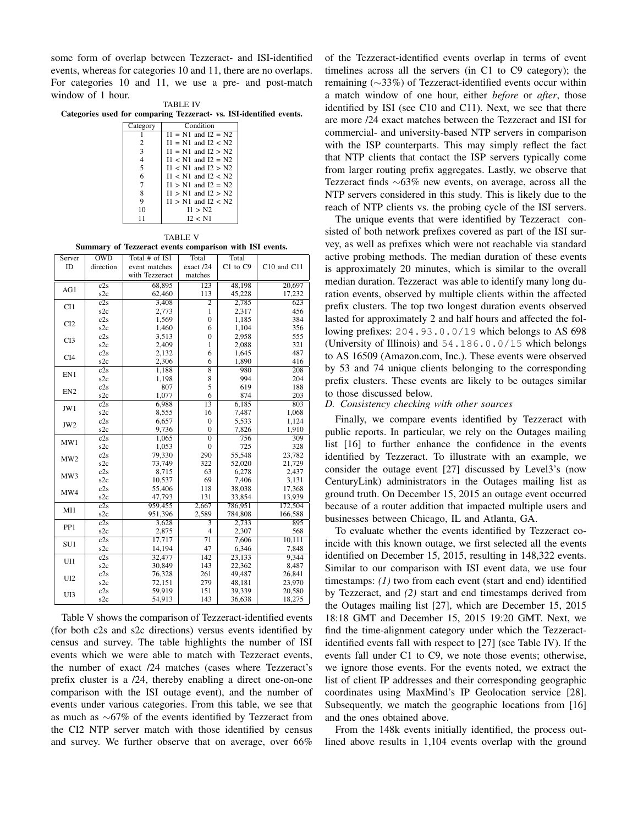some form of overlap between Tezzeract- and ISI-identified events, whereas for categories 10 and 11, there are no overlaps. For categories 10 and 11, we use a pre- and post-match window of 1 hour.

| <b>TABLE IV</b> |  |  |  |  |                                                                     |  |
|-----------------|--|--|--|--|---------------------------------------------------------------------|--|
|                 |  |  |  |  | Categories used for comparing Tezzeract- vs. ISI-identified events. |  |

| Category       | Condition               |
|----------------|-------------------------|
|                | $I1 = N1$ and $I2 = N2$ |
| 2              | $I1 = N1$ and $I2 < N2$ |
| 3              | $I1 = N1$ and $I2 > N2$ |
| $\overline{4}$ | $I1 < N1$ and $I2 = N2$ |
| 5              | $I1 < N1$ and $I2 > N2$ |
| 6              | $11 < N1$ and $12 < N2$ |
| 7              | $I1 > N1$ and $I2 = N2$ |
| 8              | $I1 > N1$ and $I2 > N2$ |
| 9              | $I1 > N1$ and $I2 < N2$ |
| 10             | 11 > N2                 |
| 11             | 12 < N1                 |
|                |                         |

TABLE V Summary of Tezzeract events comparison with ISI events.

| Server          | $\overline{\text{OWD}}$ | Total # of ISI | Total              | Total    |             |
|-----------------|-------------------------|----------------|--------------------|----------|-------------|
| ID              | direction               | event matches  | exact /24          | C1 to C9 | C10 and C11 |
|                 |                         | with Tezzeract | matches            |          |             |
| AG1             | c2s                     | 68,895         | 123                | 48,198   | 20,697      |
|                 | s <sub>2c</sub>         | 62,460         | 113                | 45,228   | 17,232      |
| CI1             | c2s                     | 3,408          | $\overline{2}$     | 2,785    | 623         |
|                 | s <sub>2c</sub>         | 2,773          | $\mathbf{1}$       | 2,317    | 456         |
| CI <sub>2</sub> | c2s                     | 1,569          | $\mathbf{0}$       | 1,185    | 384         |
|                 | s <sub>2c</sub>         | 1,460          | 6                  | 1,104    | 356         |
| CI3             | c2s                     | 3,513          | $\mathbf{0}$       | 2,958    | 555         |
|                 | s <sub>2c</sub>         | 2,409          | 1                  | 2,088    | 321         |
| CI <sub>4</sub> | c2s                     | 2,132          | 6                  | 1,645    | 487         |
|                 | s2c                     | 2,306          | 6                  | 1,890    | 416         |
| EN1             | c2s                     | 1,188          | $\overline{\bf 8}$ | 980      | 208         |
|                 | s2c                     | 1,198          | 8                  | 994      | 204         |
| EN <sub>2</sub> | c2s                     | 807            | 5                  | 619      | 188         |
|                 | s2c                     | 1,077          | 6                  | 874      | 203         |
|                 | c2s                     | 6,988          | 13                 | 6,185    | 803         |
| JW1             | s2c                     | 8,555          | 16                 | 7,487    | 1,068       |
|                 | c2s                     | 6,657          | $\mathbf{0}$       | 5,533    | 1,124       |
| JW <sub>2</sub> | s2c                     | 9,736          | $\overline{0}$     | 7,826    | 1,910       |
|                 | c2s                     | 1,065          | $\overline{0}$     | 756      | 309         |
| MW1             | s2c                     | 1,053          | $\mathbf{0}$       | 725      | 328         |
|                 | c2s                     | 79,330         | 290                | 55,548   | 23,782      |
| MW <sub>2</sub> | s2c                     | 73,749         | 322                | 52,020   | 21,729      |
|                 | c2s                     | 8,715          | 63                 | 6,278    | 2,437       |
| MW3             | s2c                     | 10,537         | 69                 | 7,406    | 3,131       |
| MW4             | c2s                     | 55,406         | 118                | 38,038   | 17,368      |
|                 | s2c                     | 47,793         | 131                | 33,854   | 13,939      |
| MI1             | c2s                     | 959,455        | 2,667              | 786,951  | 172,504     |
|                 | s2c                     | 951,396        | 2,589              | 784,808  | 166,588     |
|                 | c2s                     | 3,628          | 3                  | 2,733    | 895         |
| PP1             | s2c                     | 2,875          | $\overline{4}$     | 2,307    | 568         |
|                 | c2s                     | 17,717         | 71                 | 7,606    | 10,111      |
| SU1             | s2c                     | 14,194         | 47                 | 6,346    | 7,848       |
|                 | c2s                     | 32,477         | 142                | 23,133   | 9,344       |
| UI1             | s2c                     | 30,849         | 143                | 22,362   | 8,487       |
|                 | c2s                     | 76,328         | 261                | 49,487   | 26,841      |
| UI <sub>2</sub> | s2c                     | 72,151         | 279                | 48,181   | 23,970      |
|                 | c2s                     | 59,919         | 151                | 39,339   | 20,580      |
| UI3             | s <sub>2c</sub>         | 54,913         | 143                | 36,638   | 18,275      |

Table V shows the comparison of Tezzeract-identified events (for both c2s and s2c directions) versus events identified by census and survey. The table highlights the number of ISI events which we were able to match with Tezzeract events, the number of exact /24 matches (cases where Tezzeract's prefix cluster is a /24, thereby enabling a direct one-on-one comparison with the ISI outage event), and the number of events under various categories. From this table, we see that as much as ∼67% of the events identified by Tezzeract from the CI2 NTP server match with those identified by census and survey. We further observe that on average, over 66% of the Tezzeract-identified events overlap in terms of event timelines across all the servers (in C1 to C9 category); the remaining (∼33%) of Tezzeract-identified events occur within a match window of one hour, either *before* or *after*, those identified by ISI (see C10 and C11). Next, we see that there are more /24 exact matches between the Tezzeract and ISI for commercial- and university-based NTP servers in comparison with the ISP counterparts. This may simply reflect the fact that NTP clients that contact the ISP servers typically come from larger routing prefix aggregates. Lastly, we observe that Tezzeract finds ∼63% new events, on average, across all the NTP servers considered in this study. This is likely due to the reach of NTP clients vs. the probing cycle of the ISI servers.

The unique events that were identified by Tezzeract consisted of both network prefixes covered as part of the ISI survey, as well as prefixes which were not reachable via standard active probing methods. The median duration of these events is approximately 20 minutes, which is similar to the overall median duration. Tezzeract was able to identify many long duration events, observed by multiple clients within the affected prefix clusters. The top two longest duration events observed lasted for approximately 2 and half hours and affected the following prefixes: 204.93.0.0/19 which belongs to AS 698 (University of Illinois) and 54.186.0.0/15 which belongs to AS 16509 (Amazon.com, Inc.). These events were observed by 53 and 74 unique clients belonging to the corresponding prefix clusters. These events are likely to be outages similar to those discussed below.

#### *D. Consistency checking with other sources*

Finally, we compare events identified by Tezzeract with public reports. In particular, we rely on the Outages mailing list [16] to further enhance the confidence in the events identified by Tezzeract. To illustrate with an example, we consider the outage event [27] discussed by Level3's (now CenturyLink) administrators in the Outages mailing list as ground truth. On December 15, 2015 an outage event occurred because of a router addition that impacted multiple users and businesses between Chicago, IL and Atlanta, GA.

To evaluate whether the events identified by Tezzeract coincide with this known outage, we first selected all the events identified on December 15, 2015, resulting in 148,322 events. Similar to our comparison with ISI event data, we use four timestamps: *(1)* two from each event (start and end) identified by Tezzeract, and *(2)* start and end timestamps derived from the Outages mailing list [27], which are December 15, 2015 18:18 GMT and December 15, 2015 19:20 GMT. Next, we find the time-alignment category under which the Tezzeractidentified events fall with respect to [27] (see Table IV). If the events fall under C1 to C9, we note those events; otherwise, we ignore those events. For the events noted, we extract the list of client IP addresses and their corresponding geographic coordinates using MaxMind's IP Geolocation service [28]. Subsequently, we match the geographic locations from [16] and the ones obtained above.

From the 148k events initially identified, the process outlined above results in 1,104 events overlap with the ground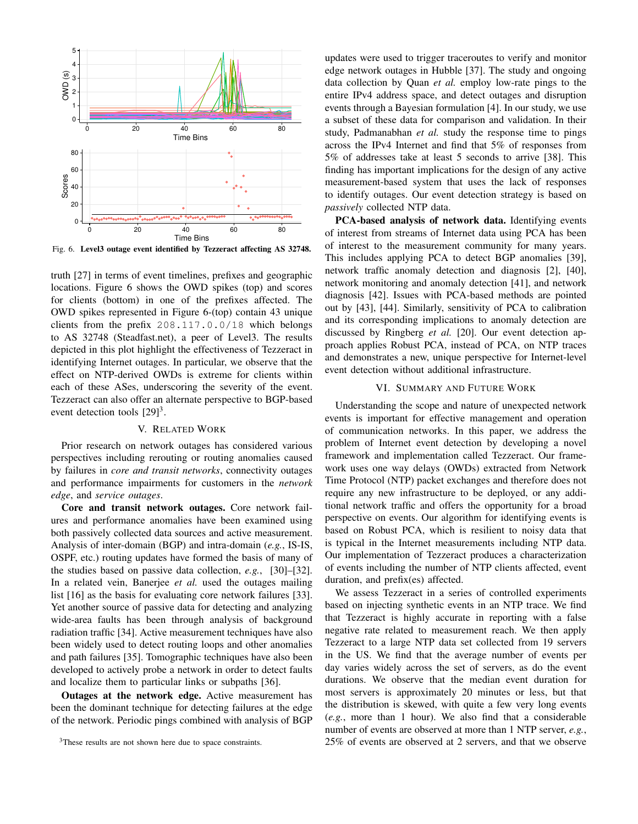

Fig. 6. Level3 outage event identified by Tezzeract affecting AS 32748.

truth [27] in terms of event timelines, prefixes and geographic locations. Figure 6 shows the OWD spikes (top) and scores for clients (bottom) in one of the prefixes affected. The OWD spikes represented in Figure 6-(top) contain 43 unique clients from the prefix 208.117.0.0/18 which belongs to AS 32748 (Steadfast.net), a peer of Level3. The results depicted in this plot highlight the effectiveness of Tezzeract in identifying Internet outages. In particular, we observe that the effect on NTP-derived OWDs is extreme for clients within each of these ASes, underscoring the severity of the event. Tezzeract can also offer an alternate perspective to BGP-based event detection tools  $[29]$ <sup>3</sup>.

# V. RELATED WORK

Prior research on network outages has considered various perspectives including rerouting or routing anomalies caused by failures in *core and transit networks*, connectivity outages and performance impairments for customers in the *network edge*, and *service outages*.

Core and transit network outages. Core network failures and performance anomalies have been examined using both passively collected data sources and active measurement. Analysis of inter-domain (BGP) and intra-domain (*e.g.*, IS-IS, OSPF, etc.) routing updates have formed the basis of many of the studies based on passive data collection, *e.g.*, [30]–[32]. In a related vein, Banerjee *et al.* used the outages mailing list [16] as the basis for evaluating core network failures [33]. Yet another source of passive data for detecting and analyzing wide-area faults has been through analysis of background radiation traffic [34]. Active measurement techniques have also been widely used to detect routing loops and other anomalies and path failures [35]. Tomographic techniques have also been developed to actively probe a network in order to detect faults and localize them to particular links or subpaths [36].

Outages at the network edge. Active measurement has been the dominant technique for detecting failures at the edge of the network. Periodic pings combined with analysis of BGP updates were used to trigger traceroutes to verify and monitor edge network outages in Hubble [37]. The study and ongoing data collection by Quan *et al.* employ low-rate pings to the entire IPv4 address space, and detect outages and disruption events through a Bayesian formulation [4]. In our study, we use a subset of these data for comparison and validation. In their study, Padmanabhan *et al.* study the response time to pings across the IPv4 Internet and find that 5% of responses from 5% of addresses take at least 5 seconds to arrive [38]. This finding has important implications for the design of any active measurement-based system that uses the lack of responses to identify outages. Our event detection strategy is based on *passively* collected NTP data.

PCA-based analysis of network data. Identifying events of interest from streams of Internet data using PCA has been of interest to the measurement community for many years. This includes applying PCA to detect BGP anomalies [39], network traffic anomaly detection and diagnosis [2], [40], network monitoring and anomaly detection [41], and network diagnosis [42]. Issues with PCA-based methods are pointed out by [43], [44]. Similarly, sensitivity of PCA to calibration and its corresponding implications to anomaly detection are discussed by Ringberg *et al.* [20]. Our event detection approach applies Robust PCA, instead of PCA, on NTP traces and demonstrates a new, unique perspective for Internet-level event detection without additional infrastructure.

#### VI. SUMMARY AND FUTURE WORK

Understanding the scope and nature of unexpected network events is important for effective management and operation of communication networks. In this paper, we address the problem of Internet event detection by developing a novel framework and implementation called Tezzeract. Our framework uses one way delays (OWDs) extracted from Network Time Protocol (NTP) packet exchanges and therefore does not require any new infrastructure to be deployed, or any additional network traffic and offers the opportunity for a broad perspective on events. Our algorithm for identifying events is based on Robust PCA, which is resilient to noisy data that is typical in the Internet measurements including NTP data. Our implementation of Tezzeract produces a characterization of events including the number of NTP clients affected, event duration, and prefix(es) affected.

We assess Tezzeract in a series of controlled experiments based on injecting synthetic events in an NTP trace. We find that Tezzeract is highly accurate in reporting with a false negative rate related to measurement reach. We then apply Tezzeract to a large NTP data set collected from 19 servers in the US. We find that the average number of events per day varies widely across the set of servers, as do the event durations. We observe that the median event duration for most servers is approximately 20 minutes or less, but that the distribution is skewed, with quite a few very long events (*e.g.*, more than 1 hour). We also find that a considerable number of events are observed at more than 1 NTP server, *e.g.*, 25% of events are observed at 2 servers, and that we observe

<sup>&</sup>lt;sup>3</sup>These results are not shown here due to space constraints.